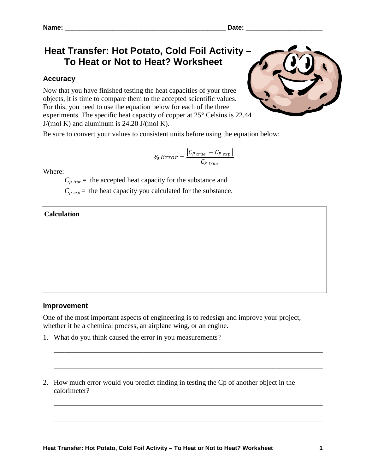# **Heat Transfer: Hot Potato, Cold Foil Activity – To Heat or Not to Heat? Worksheet**

# **Accuracy**

Now that you have finished testing the heat capacities of your three objects, it is time to compare them to the accepted scientific values. For this, you need to use the equation below for each of the three experiments. The specific heat capacity of copper at 25° Celsius is 22.44  $J/(mol \text{ K})$  and aluminum is 24.20  $J/(mol \text{ K})$ .



Be sure to convert your values to consistent units before using the equation below:

$$
\% Error = \frac{|C_{P\ true} - C_{P\ exp}|}{C_{P\ true}}
$$

Where:

 $C_{p\ true}$  = the accepted heat capacity for the substance and

 $C_{p \text{ exp}}$  = the heat capacity you calculated for the substance.

## **Calculation**

**Improvement**

One of the most important aspects of engineering is to redesign and improve your project, whether it be a chemical process, an airplane wing, or an engine.

\_\_\_\_\_\_\_\_\_\_\_\_\_\_\_\_\_\_\_\_\_\_\_\_\_\_\_\_\_\_\_\_\_\_\_\_\_\_\_\_\_\_\_\_\_\_\_\_\_\_\_\_\_\_\_\_\_\_\_\_\_\_\_\_\_\_\_\_\_\_\_\_\_\_\_

\_\_\_\_\_\_\_\_\_\_\_\_\_\_\_\_\_\_\_\_\_\_\_\_\_\_\_\_\_\_\_\_\_\_\_\_\_\_\_\_\_\_\_\_\_\_\_\_\_\_\_\_\_\_\_\_\_\_\_\_\_\_\_\_\_\_\_\_\_\_\_\_\_\_\_

\_\_\_\_\_\_\_\_\_\_\_\_\_\_\_\_\_\_\_\_\_\_\_\_\_\_\_\_\_\_\_\_\_\_\_\_\_\_\_\_\_\_\_\_\_\_\_\_\_\_\_\_\_\_\_\_\_\_\_\_\_\_\_\_\_\_\_\_\_\_\_\_\_\_\_

\_\_\_\_\_\_\_\_\_\_\_\_\_\_\_\_\_\_\_\_\_\_\_\_\_\_\_\_\_\_\_\_\_\_\_\_\_\_\_\_\_\_\_\_\_\_\_\_\_\_\_\_\_\_\_\_\_\_\_\_\_\_\_\_\_\_\_\_\_\_\_\_\_\_\_

- 1. What do you think caused the error in you measurements?
- 2. How much error would you predict finding in testing the Cp of another object in the calorimeter?